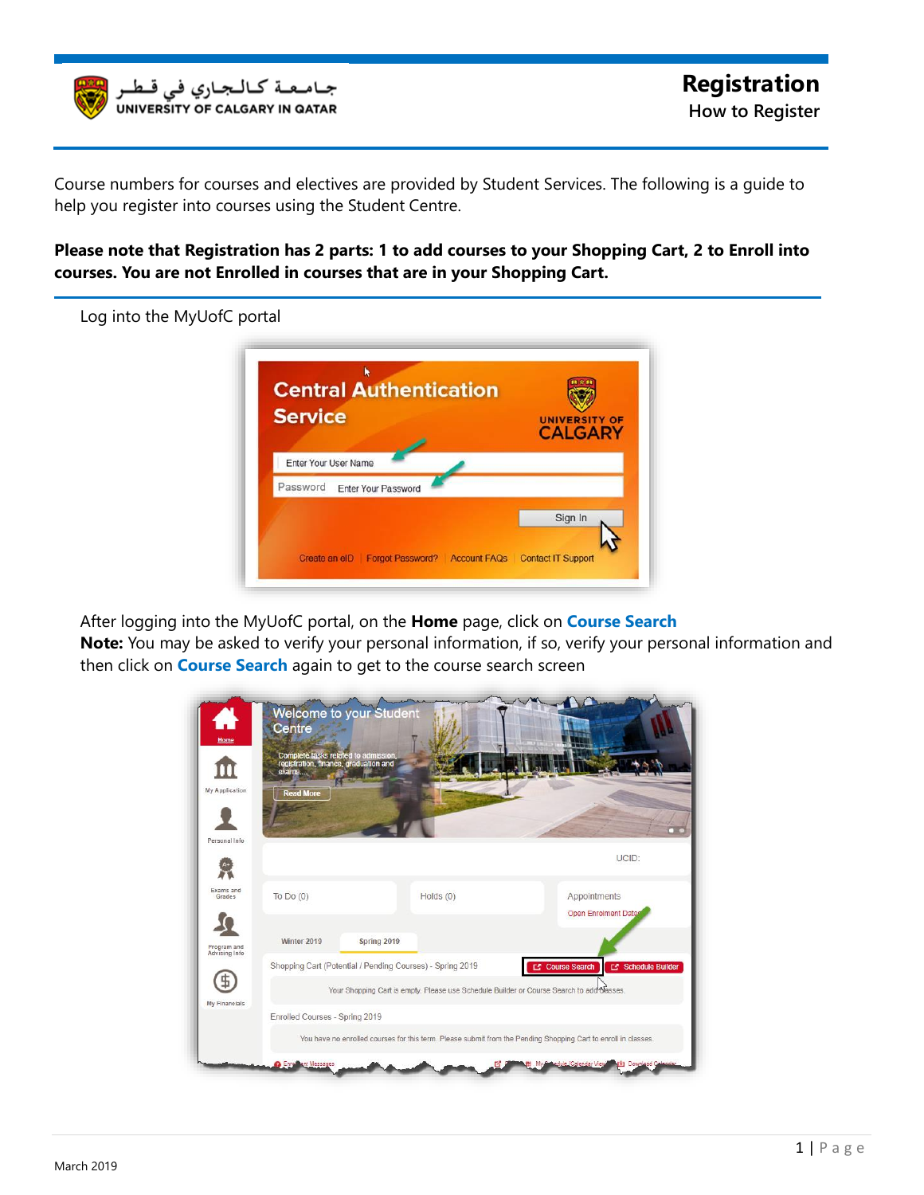

Course numbers for courses and electives are provided by Student Services. The following is a guide to help you register into courses using the Student Centre.

**Please note that Registration has 2 parts: 1 to add courses to your Shopping Cart, 2 to Enroll into courses. You are not Enrolled in courses that are in your Shopping Cart.**



After logging into the MyUofC portal, on the Home page, click on **Course Search** 

**Note:** You may be asked to verify your personal information, if so, verify your personal information and then click on **Course Search** again to get to the course search screen

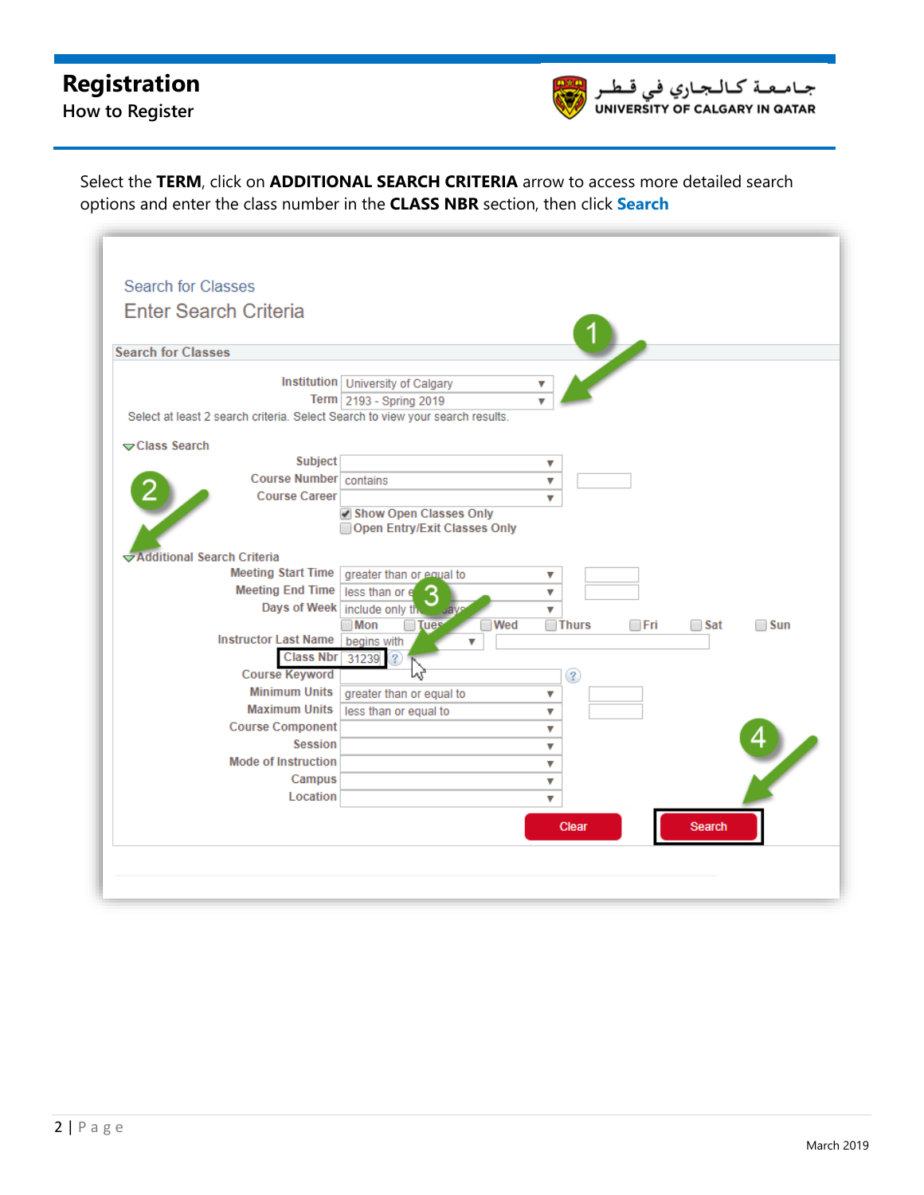## **Registration**

**How to Register**



Select the TERM, click on **ADDITIONAL SEARCH CRITERIA** arrow to access more detailed search options and enter the class number in the **CLASS NBR** section, then click **Search**

| <b>Search for Classes</b>                                                     |                                         |                                                  |
|-------------------------------------------------------------------------------|-----------------------------------------|--------------------------------------------------|
|                                                                               |                                         |                                                  |
| <b>Enter Search Criteria</b>                                                  |                                         |                                                  |
|                                                                               |                                         |                                                  |
| <b>Search for Classes</b>                                                     |                                         |                                                  |
|                                                                               | Institution University of Calgary       |                                                  |
|                                                                               | Term 2193 - Spring 2019                 |                                                  |
| Select at least 2 search criteria. Select Search to view your search results. |                                         |                                                  |
| Class Search                                                                  |                                         |                                                  |
| <b>Subject</b>                                                                |                                         | ▼                                                |
| Course Number contains                                                        |                                         | ▼                                                |
| <b>Course Career</b>                                                          |                                         | v                                                |
|                                                                               | Show Open Classes Only                  |                                                  |
|                                                                               | Open Entry/Exit Classes Only            |                                                  |
| Additional Search Criteria                                                    |                                         |                                                  |
| <b>Meeting Start Time</b>                                                     | greater than or equal to                | ▼                                                |
| <b>Meeting End Time</b>                                                       | less than or e<br>З                     | ▼                                                |
| Days of Week include only th                                                  | <b>Luave</b>                            | v                                                |
| <b>Instructor Last Name</b>                                                   | $\Box$ Mon<br><b>Tues</b><br>$\neg$ Wed | $\Box$ Thurs<br>⊟Fri<br>$\Box$ Sat<br>$\Box$ Sun |
| <b>Class Nbr</b>                                                              | begins with<br>31239<br>$\mathbf{?}$    |                                                  |
| <b>Course Keyword</b>                                                         | lлť                                     | ?                                                |
| <b>Minimum Units</b>                                                          | greater than or equal to                | ▼                                                |
| <b>Maximum Units</b>                                                          | less than or equal to                   | $\overline{\mathbf{v}}$                          |
| <b>Course Component</b>                                                       |                                         | ▼                                                |
| <b>Session</b>                                                                |                                         | $\overline{\mathbf{v}}$                          |
| <b>Mode of Instruction</b>                                                    |                                         | ▼                                                |
| Campus                                                                        |                                         | ▼                                                |
| Location                                                                      |                                         | $\overline{\mathbf{v}}$                          |
|                                                                               |                                         | Clear<br>Search                                  |
|                                                                               |                                         |                                                  |
|                                                                               |                                         |                                                  |
|                                                                               |                                         |                                                  |
|                                                                               |                                         |                                                  |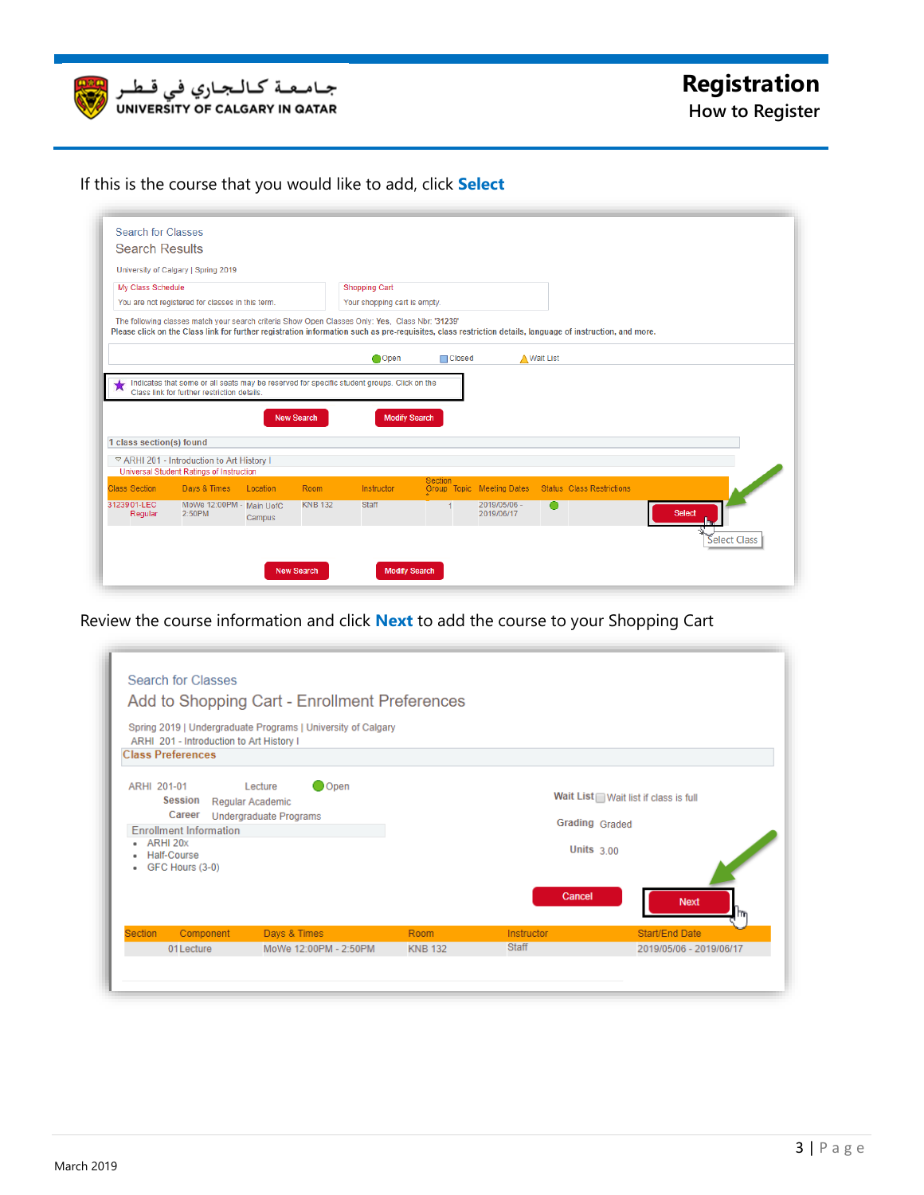

If this is the course that you would like to add, click **Select** 

| <b>Search Results</b>                                                      |                                                  |          |                   |                                                                                                                                                                                                                                                               |                 |                            |                                  |               |       |
|----------------------------------------------------------------------------|--------------------------------------------------|----------|-------------------|---------------------------------------------------------------------------------------------------------------------------------------------------------------------------------------------------------------------------------------------------------------|-----------------|----------------------------|----------------------------------|---------------|-------|
|                                                                            | University of Calgary   Spring 2019              |          |                   |                                                                                                                                                                                                                                                               |                 |                            |                                  |               |       |
| My Class Schedule                                                          |                                                  |          |                   | <b>Shopping Cart</b>                                                                                                                                                                                                                                          |                 |                            |                                  |               |       |
|                                                                            | You are not registered for classes in this term. |          |                   | Your shopping cart is empty.                                                                                                                                                                                                                                  |                 |                            |                                  |               |       |
|                                                                            |                                                  |          |                   | The following classes match your search criteria Show Open Classes Only: Yes, Class Nbr: '31239'<br>Please click on the Class link for further registration information such as pre-requisites, class restriction details, language of instruction, and more. |                 |                            |                                  |               |       |
|                                                                            |                                                  |          |                   | Open                                                                                                                                                                                                                                                          | <b>□</b> Closed |                            | ▲ Wait List                      |               |       |
|                                                                            |                                                  |          |                   |                                                                                                                                                                                                                                                               |                 |                            |                                  |               |       |
|                                                                            |                                                  |          |                   | Indicates that some or all seats may be reserved for specific student groups. Click on the                                                                                                                                                                    |                 |                            |                                  |               |       |
|                                                                            | Class link for further restriction details.      |          |                   |                                                                                                                                                                                                                                                               |                 |                            |                                  |               |       |
|                                                                            |                                                  |          |                   |                                                                                                                                                                                                                                                               |                 |                            |                                  |               |       |
|                                                                            |                                                  |          | <b>New Search</b> | <b>Modify Search</b>                                                                                                                                                                                                                                          |                 |                            |                                  |               |       |
|                                                                            |                                                  |          |                   |                                                                                                                                                                                                                                                               |                 |                            |                                  |               |       |
|                                                                            | ▽ ARHI 201 - Introduction to Art History I       |          |                   |                                                                                                                                                                                                                                                               |                 |                            |                                  |               |       |
|                                                                            | Universal Student Ratings of Instruction         |          |                   |                                                                                                                                                                                                                                                               | <b>Section</b>  |                            |                                  |               |       |
|                                                                            | Days & Times                                     | Location | Room              | Instructor                                                                                                                                                                                                                                                    |                 | Group Topic Meeting Dates  | <b>Status</b> Class Restrictions |               |       |
| 1 class section(s) found<br><b>Class Section</b><br>3123901-LEC<br>Regular | MoWe 12:00PM - Main UofC<br>2:50PM               | Campus   | <b>KNB 132</b>    | <b>Staff</b>                                                                                                                                                                                                                                                  |                 | 2019/05/06 -<br>2019/06/17 | ●                                | <b>Select</b> | - Fry |

Review the course information and click **Next** to add the course to your Shopping Cart

|                                                                           |           | Add to Shopping Cart - Enrollment Preferences                |                |              |                                      |
|---------------------------------------------------------------------------|-----------|--------------------------------------------------------------|----------------|--------------|--------------------------------------|
| ARHI 201 - Introduction to Art History I                                  |           | Spring 2019   Undergraduate Programs   University of Calgary |                |              |                                      |
| <b>Class Preferences</b>                                                  |           |                                                              |                |              |                                      |
| ARHI 201-01<br>Session                                                    |           | O Open<br>Lecture<br>Regular Academic                        |                |              | Wait List Wait list if class is full |
| Career<br><b>Enrollment Information</b>                                   |           | <b>Undergraduate Programs</b>                                |                |              | <b>Grading Graded</b>                |
| ARHI 20x<br>$\bullet$<br>Half-Course<br>$\bullet$<br>GFC Hours (3-0)<br>٠ |           |                                                              |                |              | Units $3.00$                         |
|                                                                           |           |                                                              |                | Cancel       | <b>Next</b>                          |
| <b>Section</b>                                                            | Component | Days & Times                                                 | Room           | Instructor   | Start/End Date                       |
| 01Lecture                                                                 |           | MoWe 12:00PM - 2:50PM                                        | <b>KNB 132</b> | <b>Staff</b> | 2019/05/06 - 2019/06/17              |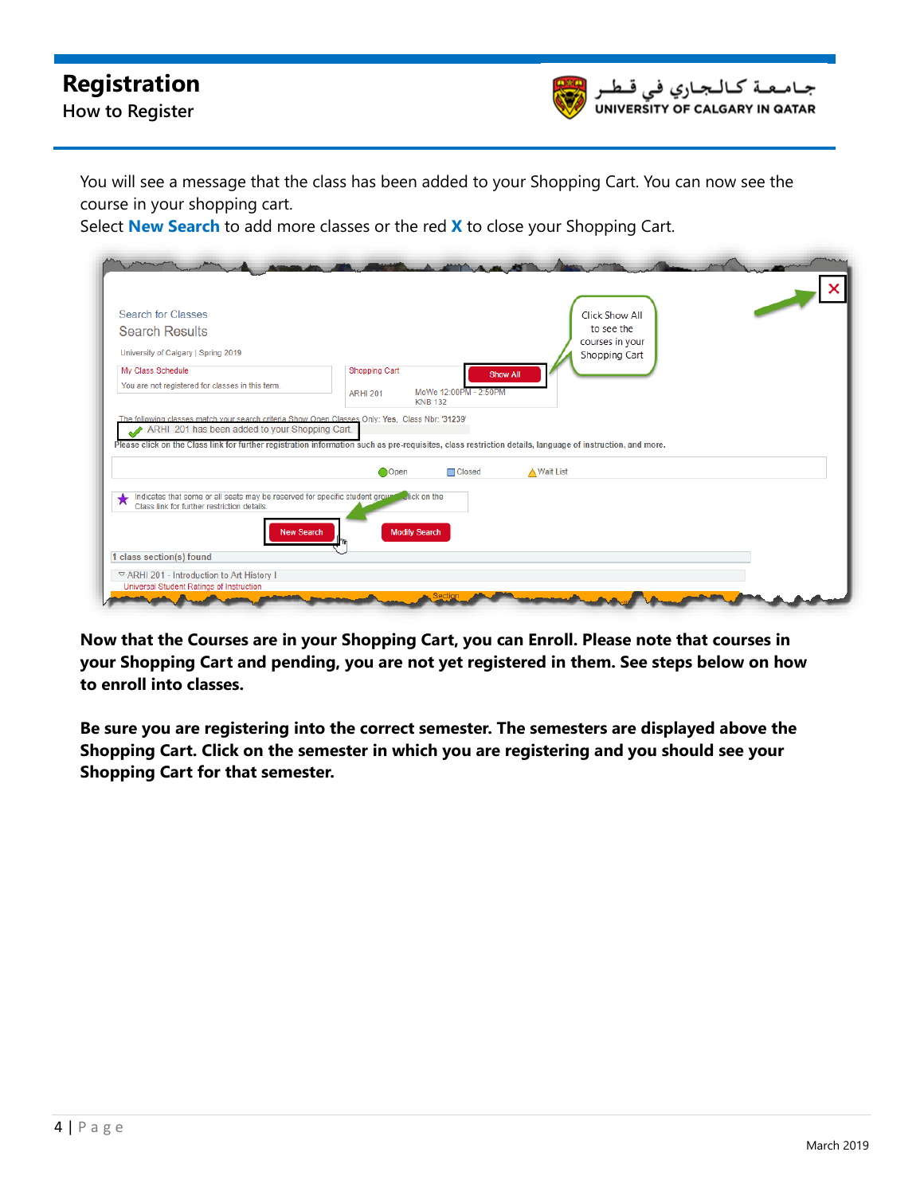## **Registration**





You will see a message that the class has been added to your Shopping Cart. You can now see the course in your shopping cart.

Select **New Search** to add more classes or the red **X** to close your Shopping Cart.

| <b>Search for Classes</b>                                                                                                                                                                                                                                                                                                                    |                      |                       |                    | Click Show All                |  |
|----------------------------------------------------------------------------------------------------------------------------------------------------------------------------------------------------------------------------------------------------------------------------------------------------------------------------------------------|----------------------|-----------------------|--------------------|-------------------------------|--|
| <b>Search Results</b>                                                                                                                                                                                                                                                                                                                        |                      |                       |                    | to see the<br>courses in your |  |
| University of Calgary   Spring 2019                                                                                                                                                                                                                                                                                                          |                      |                       |                    | Shopping Cart                 |  |
| My Class Schedule                                                                                                                                                                                                                                                                                                                            | <b>Shopping Cart</b> | <b>Show All</b>       |                    |                               |  |
| You are not registered for classes in this term.                                                                                                                                                                                                                                                                                             | <b>ARHI 201</b>      | MoWe 12:00PM - 2:50PM |                    |                               |  |
|                                                                                                                                                                                                                                                                                                                                              |                      | <b>KNB 132</b>        |                    |                               |  |
|                                                                                                                                                                                                                                                                                                                                              |                      |                       |                    |                               |  |
| ARHI 201 has been added to your Shopping Cart.                                                                                                                                                                                                                                                                                               |                      |                       |                    |                               |  |
|                                                                                                                                                                                                                                                                                                                                              |                      |                       |                    |                               |  |
|                                                                                                                                                                                                                                                                                                                                              | Open                 | $\Box$ Closed         | <b>△ Wait List</b> |                               |  |
| The following classes match your search criteria Show Open Classes Only: Yes, Class Nbr: '31239'<br>Please click on the Class link for further registration information such as pre-requisites, class restriction details, language of instruction, and more.<br>Indicates that some or all seats may be reserved for specific student groun |                      | <b>Click on the</b>   |                    |                               |  |
| Class link for further restriction details.                                                                                                                                                                                                                                                                                                  |                      |                       |                    |                               |  |
| <b>New Search</b>                                                                                                                                                                                                                                                                                                                            |                      | <b>Modify Search</b>  |                    |                               |  |
| 1 class section(s) found                                                                                                                                                                                                                                                                                                                     |                      |                       |                    |                               |  |

**Now that the Courses are in your Shopping Cart, you can Enroll. Please note that courses in your Shopping Cart and pending, you are not yet registered in them. See steps below on how to enroll into classes.**

**Be sure you are registering into the correct semester. The semesters are displayed above the Shopping Cart. Click on the semester in which you are registering and you should see your Shopping Cart for that semester.**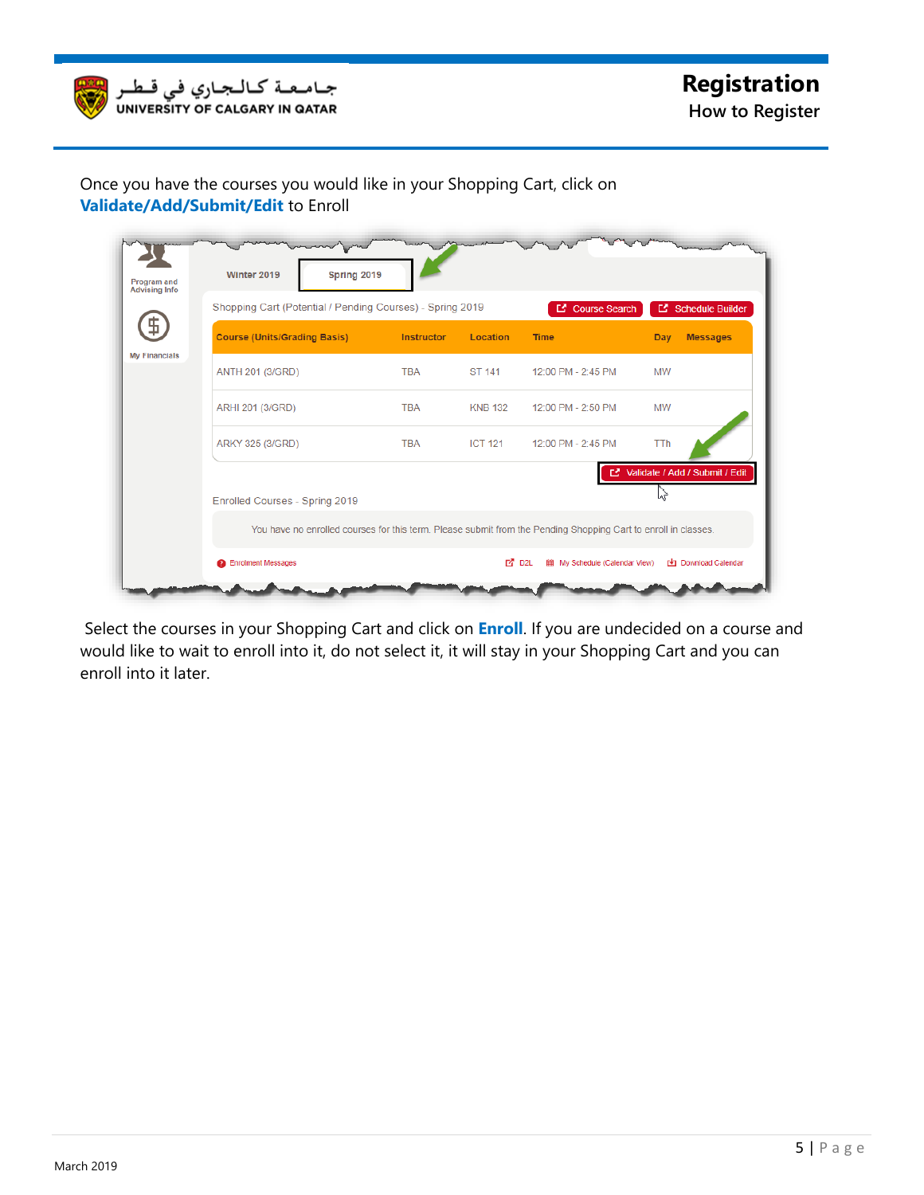

## Once you have the courses you would like in your Shopping Cart, click on **Validate/Add/Submit/Edit** to Enroll

| Shopping Cart (Potential / Pending Courses) - Spring 2019 |            |                | C Course Search                                                                                                | <b>E</b> Schedule Builder         |
|-----------------------------------------------------------|------------|----------------|----------------------------------------------------------------------------------------------------------------|-----------------------------------|
| <b>Course (Units/Grading Basis)</b>                       | Instructor | Location       | <b>Time</b>                                                                                                    | <b>Messages</b><br>Day            |
| ANTH 201 (3/GRD)                                          | <b>TBA</b> | ST 141         | 12:00 PM - 2:45 PM                                                                                             | <b>MW</b>                         |
| ARHI 201 (3/GRD)                                          | <b>TBA</b> | <b>KNB 132</b> | 12:00 PM - 2:50 PM                                                                                             | <b>MW</b>                         |
| ARKY 325 (3/GRD)                                          | <b>TBA</b> | <b>ICT 121</b> | 12:00 PM - 2:45 PM                                                                                             | <b>TTh</b>                        |
| Enrolled Courses - Spring 2019                            |            |                |                                                                                                                | L' Validate / Add / Submit / Edit |
|                                                           |            |                | You have no enrolled courses for this term. Please submit from the Pending Shopping Cart to enroll in classes. |                                   |

Select the courses in your Shopping Cart and click on **Enroll**. If you are undecided on a course and would like to wait to enroll into it, do not select it, it will stay in your Shopping Cart and you can enroll into it later.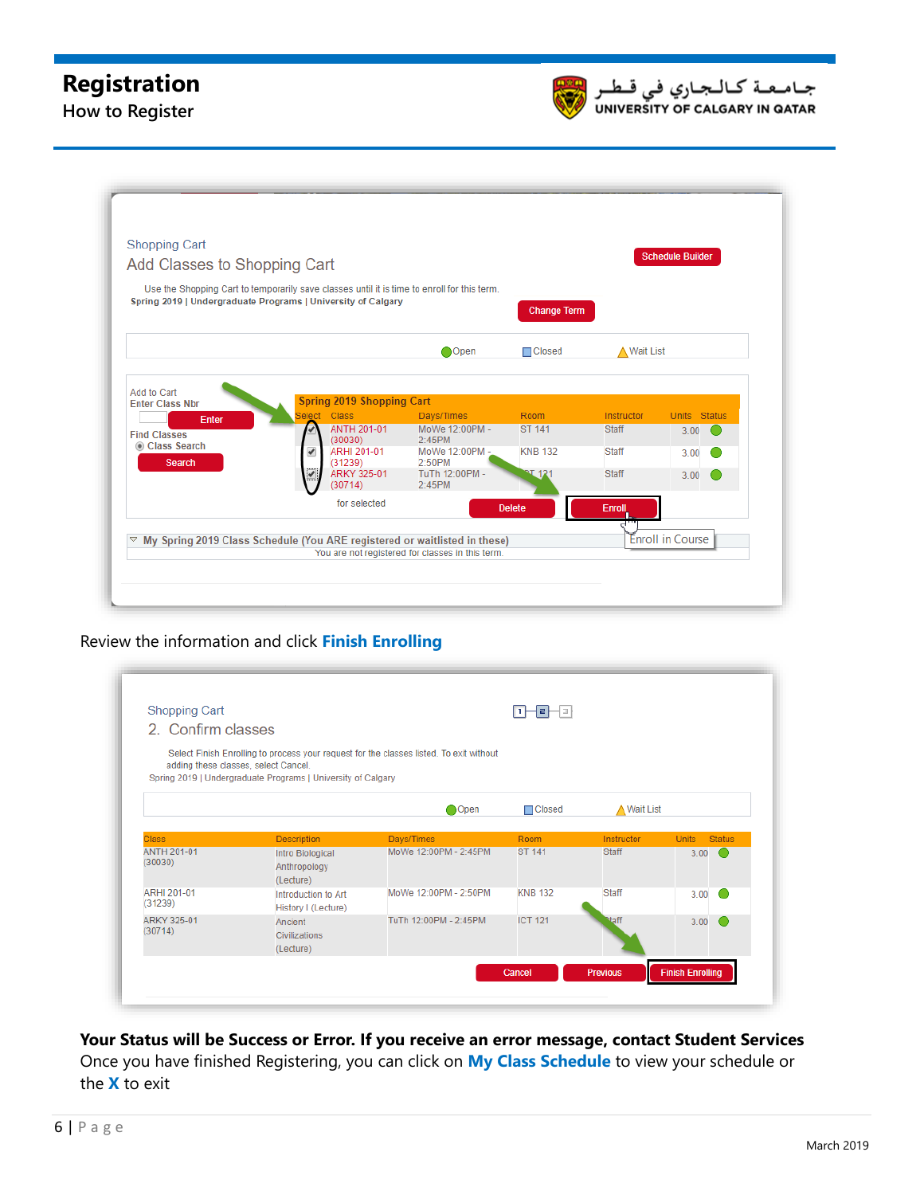## **Registration**

**How to Register**



| <b>Shopping Cart</b><br>Add Classes to Shopping Cart |                                                                                             |                                                  |                    |                    | <b>Schedule Builder</b>       |  |
|------------------------------------------------------|---------------------------------------------------------------------------------------------|--------------------------------------------------|--------------------|--------------------|-------------------------------|--|
|                                                      | Use the Shopping Cart to temporarily save classes until it is time to enroll for this term. |                                                  |                    |                    |                               |  |
|                                                      | Spring 2019   Undergraduate Programs   University of Calgary                                |                                                  | <b>Change Term</b> |                    |                               |  |
|                                                      |                                                                                             | Open                                             | □Closed            | <b>△ Wait List</b> |                               |  |
|                                                      |                                                                                             |                                                  |                    |                    |                               |  |
| Add to Cart<br><b>Enter Class Nbr</b>                | <b>Spring 2019 Shopping Cart</b>                                                            |                                                  |                    |                    |                               |  |
| Enter                                                | Select Class                                                                                | Days/Times                                       | Room               | Instructor         | <b>Status</b><br><b>Units</b> |  |
| <b>Find Classes</b><br>Class Search                  | <b>ANTH 201-01</b><br>(30030)                                                               | MoWe 12:00PM -<br>2:45PM                         | <b>ST 141</b>      | <b>Staff</b>       | 3.00<br>$\epsilon$            |  |
| <b>Search</b>                                        | ARHI 201-01<br>✔<br>(31239)                                                                 | MoWe 12:00PM -<br>$2.50$ PM                      | <b>KNB 132</b>     | <b>Staff</b>       | 3.00                          |  |
|                                                      | ARKY 325-01<br>₩<br>(30714)                                                                 | TuTh 12:00PM -<br>2:45PM                         | 21.121             | <b>Staff</b>       | 3.00                          |  |
|                                                      | for selected                                                                                |                                                  | <b>Delete</b>      | Enroll             |                               |  |
| $\bigtriangledown$                                   | My Spring 2019 Class Schedule (You ARE registered or waitlisted in these)                   |                                                  |                    |                    | <b>Enroll in Course</b>       |  |
|                                                      |                                                                                             | You are not registered for classes in this term. |                    |                    |                               |  |

Review the information and click Finish Enrolling

| 2. Confirm classes            |                                                                                                      |                                                                                         |                |                    |              |               |
|-------------------------------|------------------------------------------------------------------------------------------------------|-----------------------------------------------------------------------------------------|----------------|--------------------|--------------|---------------|
|                               | adding these classes, select Cancel.<br>Spring 2019   Undergraduate Programs   University of Calgary | Select Finish Enrolling to process your request for the classes listed. To exit without |                |                    |              |               |
|                               |                                                                                                      | Open                                                                                    | $\Box$ Closed  | <b>△ Wait List</b> |              |               |
| <b>Class</b>                  | <b>Description</b>                                                                                   | Days/Times                                                                              | Room           | Instructor         | <b>Units</b> | <b>Status</b> |
| <b>ANTH 201-01</b><br>(30030) | Intro Biological<br>Anthropology<br>(Lecture)                                                        | MoWe 12:00PM - 2:45PM                                                                   | <b>ST 141</b>  | <b>Staff</b>       | 3.00         |               |
| <b>ARHI 201-01</b><br>(31239) | Introduction to Art<br>History I (Lecture)                                                           | MoWe 12:00PM - 2:50PM                                                                   | <b>KNB 132</b> | Staff              | 3.00         |               |
| ARKY 325-01<br>(30714)        | Ancient<br>Civilizations<br>(Lecture)                                                                | TuTh 12:00PM - 2:45PM                                                                   | <b>ICT 121</b> | Maff               | 3.00         |               |

**Your Status will be Success or Error. If you receive an error message, contact Student Services** Once you have finished Registering, you can click on **My Class Schedule** to view your schedule or the **X** to exit